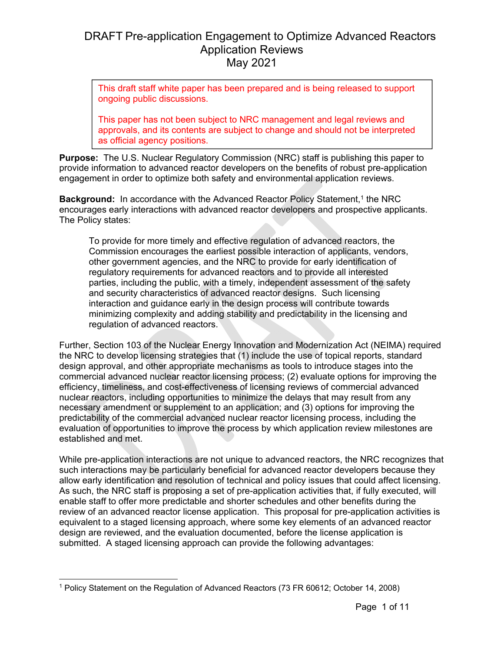This draft staff white paper has been prepared and is being released to support ongoing public discussions.

This paper has not been subject to NRC management and legal reviews and approvals, and its contents are subject to change and should not be interpreted as official agency positions.

**Purpose:** The U.S. Nuclear Regulatory Commission (NRC) staff is publishing this paper to provide information to advanced reactor developers on the benefits of robust pre-application engagement in order to optimize both safety and environmental application reviews.

**Background:** In accordance with the Advanced Reactor Policy Statement,<sup>1</sup> the NRC encourages early interactions with advanced reactor developers and prospective applicants. The Policy states:

To provide for more timely and effective regulation of advanced reactors, the Commission encourages the earliest possible interaction of applicants, vendors, other government agencies, and the NRC to provide for early identification of regulatory requirements for advanced reactors and to provide all interested parties, including the public, with a timely, independent assessment of the safety and security characteristics of advanced reactor designs. Such licensing interaction and guidance early in the design process will contribute towards minimizing complexity and adding stability and predictability in the licensing and regulation of advanced reactors.

Further, Section 103 of the Nuclear Energy Innovation and Modernization Act (NEIMA) required the NRC to develop licensing strategies that (1) include the use of topical reports, standard design approval, and other appropriate mechanisms as tools to introduce stages into the commercial advanced nuclear reactor licensing process; (2) evaluate options for improving the efficiency, timeliness, and cost-effectiveness of licensing reviews of commercial advanced nuclear reactors, including opportunities to minimize the delays that may result from any necessary amendment or supplement to an application; and (3) options for improving the predictability of the commercial advanced nuclear reactor licensing process, including the evaluation of opportunities to improve the process by which application review milestones are established and met.

While pre-application interactions are not unique to advanced reactors, the NRC recognizes that such interactions may be particularly beneficial for advanced reactor developers because they allow early identification and resolution of technical and policy issues that could affect licensing. As such, the NRC staff is proposing a set of pre-application activities that, if fully executed, will enable staff to offer more predictable and shorter schedules and other benefits during the review of an advanced reactor license application. This proposal for pre-application activities is equivalent to a staged licensing approach, where some key elements of an advanced reactor design are reviewed, and the evaluation documented, before the license application is submitted. A staged licensing approach can provide the following advantages:

<sup>1</sup> Policy Statement on the Regulation of Advanced Reactors (73 FR 60612; October 14, 2008)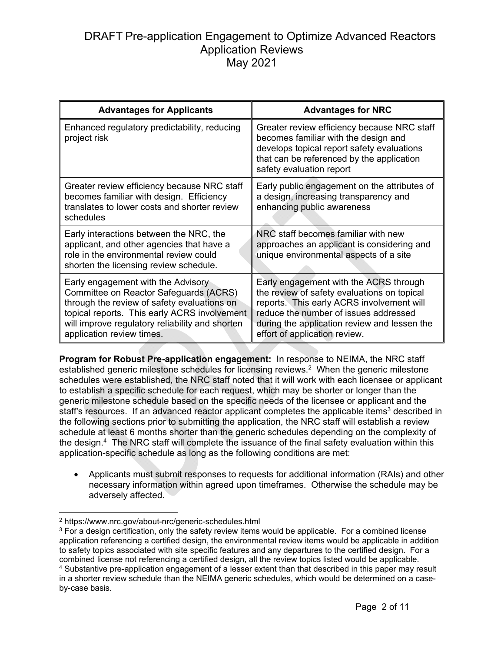| <b>Advantages for Applicants</b>                                                                                                                                                                                                                            | <b>Advantages for NRC</b>                                                                                                                                                                                                                                    |
|-------------------------------------------------------------------------------------------------------------------------------------------------------------------------------------------------------------------------------------------------------------|--------------------------------------------------------------------------------------------------------------------------------------------------------------------------------------------------------------------------------------------------------------|
| Enhanced regulatory predictability, reducing<br>project risk                                                                                                                                                                                                | Greater review efficiency because NRC staff<br>becomes familiar with the design and<br>develops topical report safety evaluations<br>that can be referenced by the application<br>safety evaluation report                                                   |
| Greater review efficiency because NRC staff<br>becomes familiar with design. Efficiency<br>translates to lower costs and shorter review<br>schedules                                                                                                        | Early public engagement on the attributes of<br>a design, increasing transparency and<br>enhancing public awareness                                                                                                                                          |
| Early interactions between the NRC, the<br>applicant, and other agencies that have a<br>role in the environmental review could<br>shorten the licensing review schedule.                                                                                    | NRC staff becomes familiar with new<br>approaches an applicant is considering and<br>unique environmental aspects of a site                                                                                                                                  |
| Early engagement with the Advisory<br>Committee on Reactor Safeguards (ACRS)<br>through the review of safety evaluations on<br>topical reports. This early ACRS involvement<br>will improve regulatory reliability and shorten<br>application review times. | Early engagement with the ACRS through<br>the review of safety evaluations on topical<br>reports. This early ACRS involvement will<br>reduce the number of issues addressed<br>during the application review and lessen the<br>effort of application review. |

**Program for Robust Pre-application engagement:** In response to NEIMA, the NRC staff established generic milestone schedules for licensing reviews.<sup>2</sup> When the generic milestone schedules were established, the NRC staff noted that it will work with each licensee or applicant to establish a specific schedule for each request, which may be shorter or longer than the generic milestone schedule based on the specific needs of the licensee or applicant and the staff's resources. If an advanced reactor applicant completes the applicable items<sup>3</sup> described in the following sections prior to submitting the application, the NRC staff will establish a review schedule at least 6 months shorter than the generic schedules depending on the complexity of the design.4 The NRC staff will complete the issuance of the final safety evaluation within this application-specific schedule as long as the following conditions are met:

• Applicants must submit responses to requests for additional information (RAIs) and other necessary information within agreed upon timeframes. Otherwise the schedule may be adversely affected.

-

<sup>2</sup> https://www.nrc.gov/about-nrc/generic-schedules.html

 $3$  For a design certification, only the safety review items would be applicable. For a combined license application referencing a certified design, the environmental review items would be applicable in addition to safety topics associated with site specific features and any departures to the certified design. For a combined license not referencing a certified design, all the review topics listed would be applicable. 4 Substantive pre-application engagement of a lesser extent than that described in this paper may result in a shorter review schedule than the NEIMA generic schedules, which would be determined on a caseby-case basis.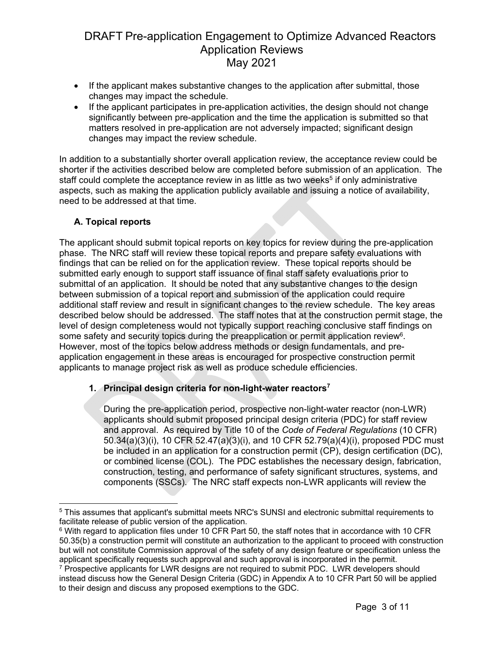- If the applicant makes substantive changes to the application after submittal, those changes may impact the schedule.
- If the applicant participates in pre-application activities, the design should not change significantly between pre-application and the time the application is submitted so that matters resolved in pre-application are not adversely impacted; significant design changes may impact the review schedule.

In addition to a substantially shorter overall application review, the acceptance review could be shorter if the activities described below are completed before submission of an application. The staff could complete the acceptance review in as little as two weeks<sup>5</sup> if only administrative aspects, such as making the application publicly available and issuing a notice of availability, need to be addressed at that time.

### **A. Topical reports**

The applicant should submit topical reports on key topics for review during the pre-application phase. The NRC staff will review these topical reports and prepare safety evaluations with findings that can be relied on for the application review. These topical reports should be submitted early enough to support staff issuance of final staff safety evaluations prior to submittal of an application. It should be noted that any substantive changes to the design between submission of a topical report and submission of the application could require additional staff review and result in significant changes to the review schedule. The key areas described below should be addressed. The staff notes that at the construction permit stage, the level of design completeness would not typically support reaching conclusive staff findings on some safety and security topics during the preapplication or permit application review<sup>6</sup>. However, most of the topics below address methods or design fundamentals, and preapplication engagement in these areas is encouraged for prospective construction permit applicants to manage project risk as well as produce schedule efficiencies.

### **1. Principal design criteria for non-light-water reactors7**

During the pre-application period, prospective non-light-water reactor (non-LWR) applicants should submit proposed principal design criteria (PDC) for staff review and approval. As required by Title 10 of the *Code of Federal Regulations* (10 CFR) 50.34(a)(3)(i), 10 CFR 52.47(a)(3)(i), and 10 CFR 52.79(a)(4)(i), proposed PDC must be included in an application for a construction permit (CP), design certification (DC), or combined license (COL). The PDC establishes the necessary design, fabrication, construction, testing, and performance of safety significant structures, systems, and components (SSCs). The NRC staff expects non-LWR applicants will review the

 $\overline{a}$ 5 This assumes that applicant's submittal meets NRC's SUNSI and electronic submittal requirements to facilitate release of public version of the application.

 $6$  With regard to application files under 10 CFR Part 50, the staff notes that in accordance with 10 CFR 50.35(b) a construction permit will constitute an authorization to the applicant to proceed with construction but will not constitute Commission approval of the safety of any design feature or specification unless the applicant specifically requests such approval and such approval is incorporated in the permit.

<sup>7</sup> Prospective applicants for LWR designs are not required to submit PDC. LWR developers should instead discuss how the General Design Criteria (GDC) in Appendix A to 10 CFR Part 50 will be applied to their design and discuss any proposed exemptions to the GDC.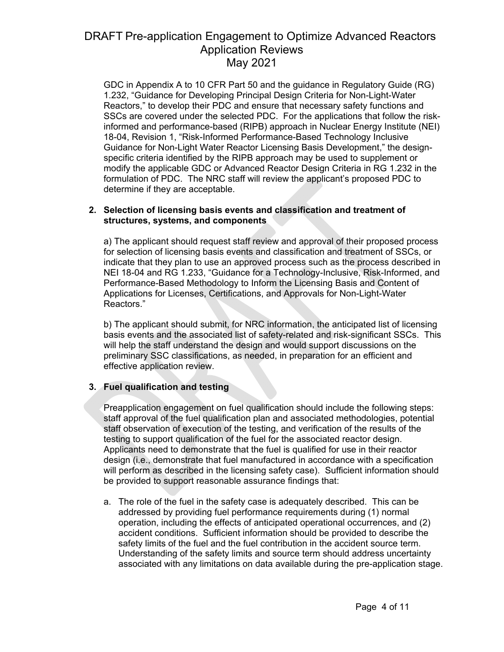GDC in Appendix A to 10 CFR Part 50 and the guidance in Regulatory Guide (RG) 1.232, "Guidance for Developing Principal Design Criteria for Non-Light-Water Reactors," to develop their PDC and ensure that necessary safety functions and SSCs are covered under the selected PDC. For the applications that follow the riskinformed and performance-based (RIPB) approach in Nuclear Energy Institute (NEI) 18-04, Revision 1, "Risk-Informed Performance-Based Technology Inclusive Guidance for Non-Light Water Reactor Licensing Basis Development," the designspecific criteria identified by the RIPB approach may be used to supplement or modify the applicable GDC or Advanced Reactor Design Criteria in RG 1.232 in the formulation of PDC. The NRC staff will review the applicant's proposed PDC to determine if they are acceptable.

#### **2. Selection of licensing basis events and classification and treatment of structures, systems, and components**

a) The applicant should request staff review and approval of their proposed process for selection of licensing basis events and classification and treatment of SSCs, or indicate that they plan to use an approved process such as the process described in NEI 18-04 and RG 1.233, "Guidance for a Technology-Inclusive, Risk-Informed, and Performance-Based Methodology to Inform the Licensing Basis and Content of Applications for Licenses, Certifications, and Approvals for Non-Light-Water Reactors."

b) The applicant should submit, for NRC information, the anticipated list of licensing basis events and the associated list of safety-related and risk-significant SSCs. This will help the staff understand the design and would support discussions on the preliminary SSC classifications, as needed, in preparation for an efficient and effective application review.

### **3. Fuel qualification and testing**

Preapplication engagement on fuel qualification should include the following steps: staff approval of the fuel qualification plan and associated methodologies, potential staff observation of execution of the testing, and verification of the results of the testing to support qualification of the fuel for the associated reactor design. Applicants need to demonstrate that the fuel is qualified for use in their reactor design (i.e., demonstrate that fuel manufactured in accordance with a specification will perform as described in the licensing safety case). Sufficient information should be provided to support reasonable assurance findings that:

a. The role of the fuel in the safety case is adequately described. This can be addressed by providing fuel performance requirements during (1) normal operation, including the effects of anticipated operational occurrences, and (2) accident conditions. Sufficient information should be provided to describe the safety limits of the fuel and the fuel contribution in the accident source term. Understanding of the safety limits and source term should address uncertainty associated with any limitations on data available during the pre-application stage.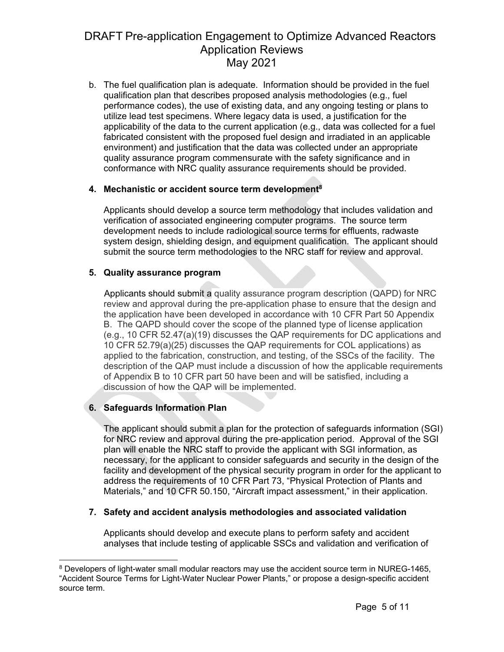b. The fuel qualification plan is adequate. Information should be provided in the fuel qualification plan that describes proposed analysis methodologies (e.g., fuel performance codes), the use of existing data, and any ongoing testing or plans to utilize lead test specimens. Where legacy data is used, a justification for the applicability of the data to the current application (e.g., data was collected for a fuel fabricated consistent with the proposed fuel design and irradiated in an applicable environment) and justification that the data was collected under an appropriate quality assurance program commensurate with the safety significance and in conformance with NRC quality assurance requirements should be provided.

## **4. Mechanistic or accident source term development8**

Applicants should develop a source term methodology that includes validation and verification of associated engineering computer programs. The source term development needs to include radiological source terms for effluents, radwaste system design, shielding design, and equipment qualification. The applicant should submit the source term methodologies to the NRC staff for review and approval.

## **5. Quality assurance program**

Applicants should submit a quality assurance program description (QAPD) for NRC review and approval during the pre-application phase to ensure that the design and the application have been developed in accordance with 10 CFR Part 50 Appendix B. The QAPD should cover the scope of the planned type of license application (e.g., 10 CFR 52.47(a)(19) discusses the QAP requirements for DC applications and 10 CFR 52.79(a)(25) discusses the QAP requirements for COL applications) as applied to the fabrication, construction, and testing, of the SSCs of the facility. The description of the QAP must include a discussion of how the applicable requirements of Appendix B to 10 CFR part 50 have been and will be satisfied, including a discussion of how the QAP will be implemented.

## **6. Safeguards Information Plan**

The applicant should submit a plan for the protection of safeguards information (SGI) for NRC review and approval during the pre-application period. Approval of the SGI plan will enable the NRC staff to provide the applicant with SGI information, as necessary, for the applicant to consider safeguards and security in the design of the facility and development of the physical security program in order for the applicant to address the requirements of 10 CFR Part 73, "Physical Protection of Plants and Materials," and 10 CFR 50.150, "Aircraft impact assessment," in their application.

### **7. Safety and accident analysis methodologies and associated validation**

Applicants should develop and execute plans to perform safety and accident analyses that include testing of applicable SSCs and validation and verification of

<sup>&</sup>lt;sup>8</sup> Developers of light-water small modular reactors may use the accident source term in NUREG-1465, "Accident Source Terms for Light-Water Nuclear Power Plants," or propose a design-specific accident source term.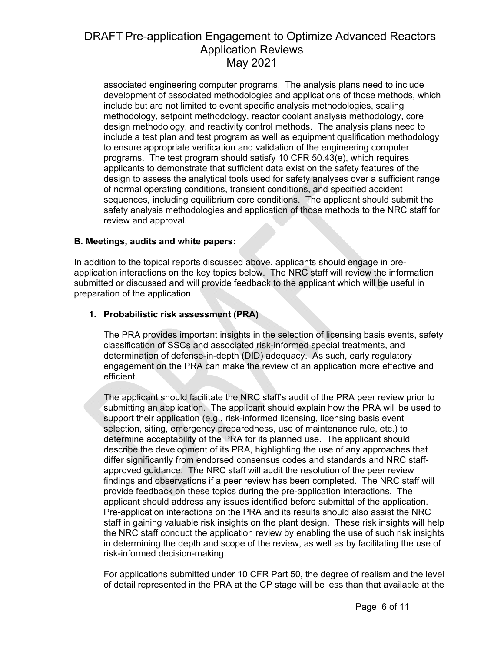associated engineering computer programs. The analysis plans need to include development of associated methodologies and applications of those methods, which include but are not limited to event specific analysis methodologies, scaling methodology, setpoint methodology, reactor coolant analysis methodology, core design methodology, and reactivity control methods. The analysis plans need to include a test plan and test program as well as equipment qualification methodology to ensure appropriate verification and validation of the engineering computer programs. The test program should satisfy 10 CFR 50.43(e), which requires applicants to demonstrate that sufficient data exist on the safety features of the design to assess the analytical tools used for safety analyses over a sufficient range of normal operating conditions, transient conditions, and specified accident sequences, including equilibrium core conditions. The applicant should submit the safety analysis methodologies and application of those methods to the NRC staff for review and approval.

### **B. Meetings, audits and white papers:**

In addition to the topical reports discussed above, applicants should engage in preapplication interactions on the key topics below. The NRC staff will review the information submitted or discussed and will provide feedback to the applicant which will be useful in preparation of the application.

### **1. Probabilistic risk assessment (PRA)**

The PRA provides important insights in the selection of licensing basis events, safety classification of SSCs and associated risk-informed special treatments, and determination of defense-in-depth (DID) adequacy. As such, early regulatory engagement on the PRA can make the review of an application more effective and efficient.

The applicant should facilitate the NRC staff's audit of the PRA peer review prior to submitting an application. The applicant should explain how the PRA will be used to support their application (e.g., risk-informed licensing, licensing basis event selection, siting, emergency preparedness, use of maintenance rule, etc.) to determine acceptability of the PRA for its planned use. The applicant should describe the development of its PRA, highlighting the use of any approaches that differ significantly from endorsed consensus codes and standards and NRC staffapproved guidance. The NRC staff will audit the resolution of the peer review findings and observations if a peer review has been completed. The NRC staff will provide feedback on these topics during the pre-application interactions. The applicant should address any issues identified before submittal of the application. Pre-application interactions on the PRA and its results should also assist the NRC staff in gaining valuable risk insights on the plant design. These risk insights will help the NRC staff conduct the application review by enabling the use of such risk insights in determining the depth and scope of the review, as well as by facilitating the use of risk-informed decision-making.

For applications submitted under 10 CFR Part 50, the degree of realism and the level of detail represented in the PRA at the CP stage will be less than that available at the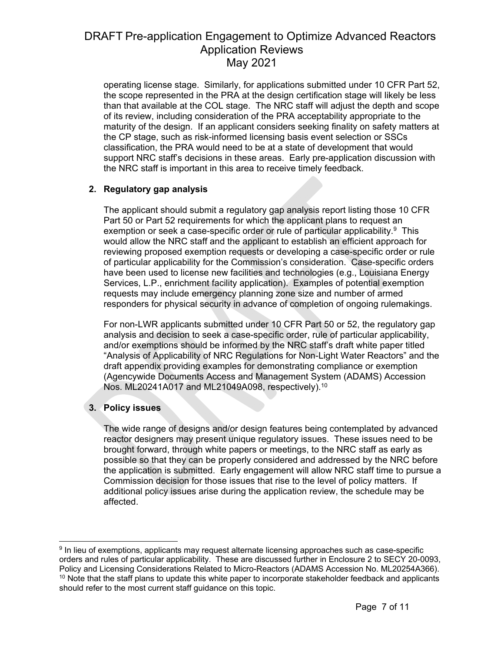operating license stage. Similarly, for applications submitted under 10 CFR Part 52, the scope represented in the PRA at the design certification stage will likely be less than that available at the COL stage. The NRC staff will adjust the depth and scope of its review, including consideration of the PRA acceptability appropriate to the maturity of the design. If an applicant considers seeking finality on safety matters at the CP stage, such as risk-informed licensing basis event selection or SSCs classification, the PRA would need to be at a state of development that would support NRC staff's decisions in these areas. Early pre-application discussion with the NRC staff is important in this area to receive timely feedback.

## **2. Regulatory gap analysis**

The applicant should submit a regulatory gap analysis report listing those 10 CFR Part 50 or Part 52 requirements for which the applicant plans to request an exemption or seek a case-specific order or rule of particular applicability.<sup>9</sup> This would allow the NRC staff and the applicant to establish an efficient approach for reviewing proposed exemption requests or developing a case-specific order or rule of particular applicability for the Commission's consideration. Case-specific orders have been used to license new facilities and technologies (e.g., Louisiana Energy Services, L.P., enrichment facility application). Examples of potential exemption requests may include emergency planning zone size and number of armed responders for physical security in advance of completion of ongoing rulemakings.

For non-LWR applicants submitted under 10 CFR Part 50 or 52, the regulatory gap analysis and decision to seek a case-specific order, rule of particular applicability, and/or exemptions should be informed by the NRC staff's draft white paper titled "Analysis of Applicability of NRC Regulations for Non-Light Water Reactors" and the draft appendix providing examples for demonstrating compliance or exemption (Agencywide Documents Access and Management System (ADAMS) Accession Nos. ML20241A017 and ML21049A098, respectively).10

## **3. Policy issues**

The wide range of designs and/or design features being contemplated by advanced reactor designers may present unique regulatory issues. These issues need to be brought forward, through white papers or meetings, to the NRC staff as early as possible so that they can be properly considered and addressed by the NRC before the application is submitted. Early engagement will allow NRC staff time to pursue a Commission decision for those issues that rise to the level of policy matters. If additional policy issues arise during the application review, the schedule may be affected.

 <sup>9</sup> In lieu of exemptions, applicants may request alternate licensing approaches such as case-specific orders and rules of particular applicability. These are discussed further in Enclosure 2 to SECY 20-0093, Policy and Licensing Considerations Related to Micro-Reactors (ADAMS Accession No. ML20254A366).  $10$  Note that the staff plans to update this white paper to incorporate stakeholder feedback and applicants should refer to the most current staff guidance on this topic.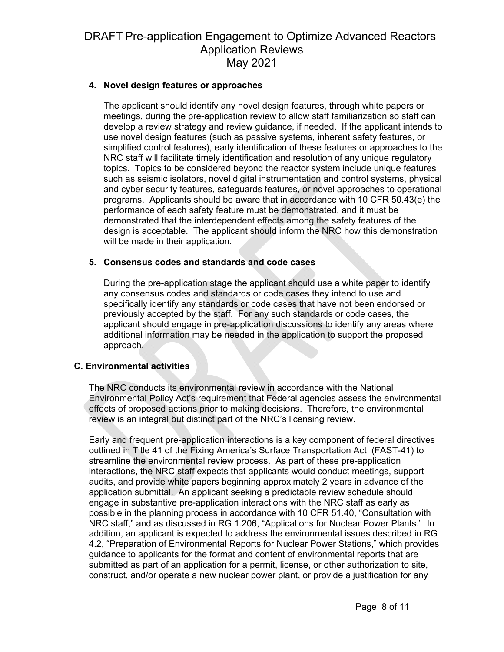### **4. Novel design features or approaches**

The applicant should identify any novel design features, through white papers or meetings, during the pre-application review to allow staff familiarization so staff can develop a review strategy and review guidance, if needed. If the applicant intends to use novel design features (such as passive systems, inherent safety features, or simplified control features), early identification of these features or approaches to the NRC staff will facilitate timely identification and resolution of any unique regulatory topics. Topics to be considered beyond the reactor system include unique features such as seismic isolators, novel digital instrumentation and control systems, physical and cyber security features, safeguards features, or novel approaches to operational programs. Applicants should be aware that in accordance with 10 CFR 50.43(e) the performance of each safety feature must be demonstrated, and it must be demonstrated that the interdependent effects among the safety features of the design is acceptable. The applicant should inform the NRC how this demonstration will be made in their application.

#### **5. Consensus codes and standards and code cases**

During the pre-application stage the applicant should use a white paper to identify any consensus codes and standards or code cases they intend to use and specifically identify any standards or code cases that have not been endorsed or previously accepted by the staff. For any such standards or code cases, the applicant should engage in pre-application discussions to identify any areas where additional information may be needed in the application to support the proposed approach.

### **C. Environmental activities**

The NRC conducts its environmental review in accordance with the National Environmental Policy Act's requirement that Federal agencies assess the environmental effects of proposed actions prior to making decisions. Therefore, the environmental review is an integral but distinct part of the NRC's licensing review.

Early and frequent pre-application interactions is a key component of federal directives outlined in Title 41 of the Fixing America's Surface Transportation Act (FAST-41) to streamline the environmental review process. As part of these pre-application interactions, the NRC staff expects that applicants would conduct meetings, support audits, and provide white papers beginning approximately 2 years in advance of the application submittal. An applicant seeking a predictable review schedule should engage in substantive pre-application interactions with the NRC staff as early as possible in the planning process in accordance with 10 CFR 51.40, "Consultation with NRC staff," and as discussed in RG 1.206, "Applications for Nuclear Power Plants." In addition, an applicant is expected to address the environmental issues described in RG 4.2, "Preparation of Environmental Reports for Nuclear Power Stations," which provides guidance to applicants for the format and content of environmental reports that are submitted as part of an application for a permit, license, or other authorization to site, construct, and/or operate a new nuclear power plant, or provide a justification for any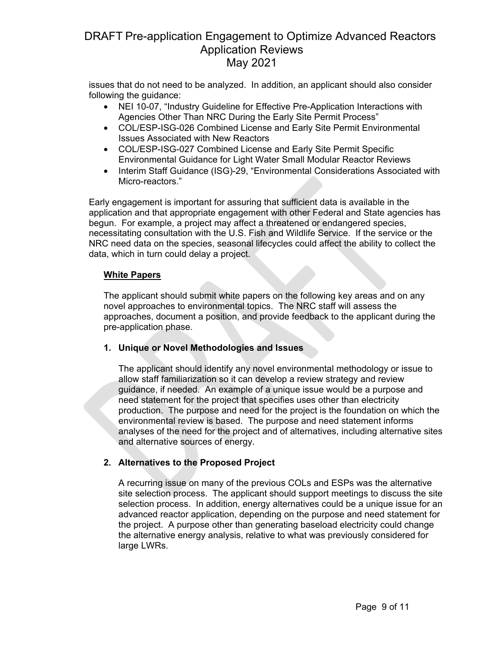issues that do not need to be analyzed. In addition, an applicant should also consider following the guidance:

- NEI 10-07, "Industry Guideline for Effective Pre-Application Interactions with Agencies Other Than NRC During the Early Site Permit Process"
- COL/ESP-ISG-026 Combined License and Early Site Permit Environmental Issues Associated with New Reactors
- COL/ESP-ISG-027 Combined License and Early Site Permit Specific Environmental Guidance for Light Water Small Modular Reactor Reviews
- Interim Staff Guidance (ISG)-29, "Environmental Considerations Associated with Micro-reactors."

Early engagement is important for assuring that sufficient data is available in the application and that appropriate engagement with other Federal and State agencies has begun. For example, a project may affect a threatened or endangered species, necessitating consultation with the U.S. Fish and Wildlife Service. If the service or the NRC need data on the species, seasonal lifecycles could affect the ability to collect the data, which in turn could delay a project.

### **White Papers**

The applicant should submit white papers on the following key areas and on any novel approaches to environmental topics. The NRC staff will assess the approaches, document a position, and provide feedback to the applicant during the pre-application phase.

## **1. Unique or Novel Methodologies and Issues**

The applicant should identify any novel environmental methodology or issue to allow staff familiarization so it can develop a review strategy and review guidance, if needed. An example of a unique issue would be a purpose and need statement for the project that specifies uses other than electricity production. The purpose and need for the project is the foundation on which the environmental review is based. The purpose and need statement informs analyses of the need for the project and of alternatives, including alternative sites and alternative sources of energy.

## **2. Alternatives to the Proposed Project**

A recurring issue on many of the previous COLs and ESPs was the alternative site selection process. The applicant should support meetings to discuss the site selection process. In addition, energy alternatives could be a unique issue for an advanced reactor application, depending on the purpose and need statement for the project. A purpose other than generating baseload electricity could change the alternative energy analysis, relative to what was previously considered for large LWRs.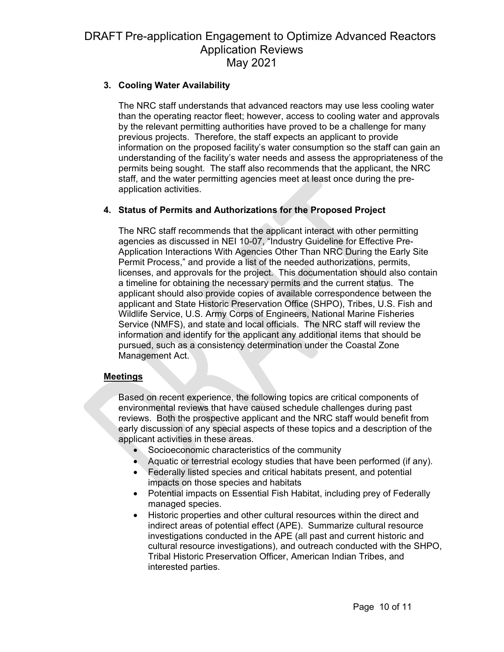### **3. Cooling Water Availability**

The NRC staff understands that advanced reactors may use less cooling water than the operating reactor fleet; however, access to cooling water and approvals by the relevant permitting authorities have proved to be a challenge for many previous projects. Therefore, the staff expects an applicant to provide information on the proposed facility's water consumption so the staff can gain an understanding of the facility's water needs and assess the appropriateness of the permits being sought. The staff also recommends that the applicant, the NRC staff, and the water permitting agencies meet at least once during the preapplication activities.

### **4. Status of Permits and Authorizations for the Proposed Project**

The NRC staff recommends that the applicant interact with other permitting agencies as discussed in NEI 10-07, "Industry Guideline for Effective Pre-Application Interactions With Agencies Other Than NRC During the Early Site Permit Process," and provide a list of the needed authorizations, permits, licenses, and approvals for the project. This documentation should also contain a timeline for obtaining the necessary permits and the current status. The applicant should also provide copies of available correspondence between the applicant and State Historic Preservation Office (SHPO), Tribes, U.S. Fish and Wildlife Service, U.S. Army Corps of Engineers, National Marine Fisheries Service (NMFS), and state and local officials. The NRC staff will review the information and identify for the applicant any additional items that should be pursued, such as a consistency determination under the Coastal Zone Management Act.

### **Meetings**

Based on recent experience, the following topics are critical components of environmental reviews that have caused schedule challenges during past reviews. Both the prospective applicant and the NRC staff would benefit from early discussion of any special aspects of these topics and a description of the applicant activities in these areas.

- Socioeconomic characteristics of the community
- Aquatic or terrestrial ecology studies that have been performed (if any).
- Federally listed species and critical habitats present, and potential impacts on those species and habitats
- Potential impacts on Essential Fish Habitat, including prey of Federally managed species.
- Historic properties and other cultural resources within the direct and indirect areas of potential effect (APE). Summarize cultural resource investigations conducted in the APE (all past and current historic and cultural resource investigations), and outreach conducted with the SHPO, Tribal Historic Preservation Officer, American Indian Tribes, and interested parties.